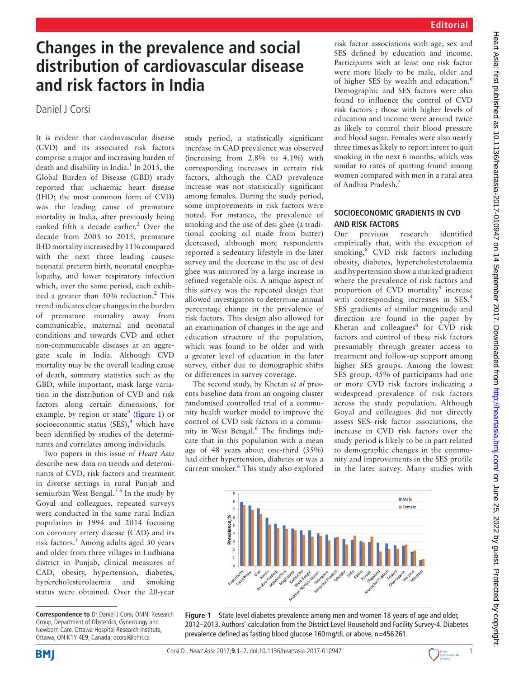# **Changes in the prevalence and social distribution of cardiovascular disease and risk factors in India**

Daniel J Corsi

It is evident that cardiovascular disease (CVD) and its associated risk factors comprise a major and increasing burden of death and disability in India.<sup>1</sup> In 2015, the Global Burden of Disease (GBD) study reported that ischaemic heart disease (IHD; the most common form of CVD) was the leading cause of premature mortality in India, after previously being ranked fifth a decade earlier.<sup>2</sup> Over the decade from 2005 to 2015, premature IHD mortality increased by 11% compared with the next three leading causes: neonatal preterm birth, neonatal encephalopathy, and lower respiratory infection which, over the same period, each exhibited a greater than 30% reduction.<sup>2</sup> This trend indicates clear changes in the burden of premature mortality away from communicable, maternal and neonatal conditions and towards CVD and other non-communicable diseases at an aggregate scale in India. Although CVD mortality may be the overall leading cause of death, summary statistics such as the GBD, while important, mask large variation in the distribution of CVD and risk factors along certain dimensions, for example, by region or state<sup>3</sup> ([figure](#page-0-0) 1) or socioeconomic status  $(SES),<sup>4</sup>$  $(SES),<sup>4</sup>$  $(SES),<sup>4</sup>$  which have been identified by studies of the determinants and correlates among individuals.

Two papers in this issue of *Heart Asia* describe new data on trends and determinants of CVD, risk factors and treatment in diverse settings in rural Punjab and semiurban West Bengal.<sup>[5 6](#page-1-4)</sup> In the study by Goyal and colleagues, repeated surveys were conducted in the same rural Indian population in 1994 and 2014 focusing on coronary artery disease (CAD) and its risk factors.<sup>[5](#page-1-4)</sup> Among adults aged 30 years and older from three villages in Ludhiana district in Punjab, clinical measures of CAD, obesity, hypertension, diabetes, hypercholesterolaemia and smoking status were obtained. Over the 20-year

study period, a statistically significant increase in CAD prevalence was observed (increasing from 2.8% to 4.1%) with corresponding increases in certain risk factors, although the CAD prevalence increase was not statistically significant among females. During the study period, some improvements in risk factors were noted. For instance, the prevalence of smoking and the use of desi ghee (a traditional cooking oil made from butter) decreased, although more respondents reported a sedentary lifestyle in the later survey and the decrease in the use of desi ghee was mirrored by a large increase in refined vegetable oils. A unique aspect of this survey was the repeated design that allowed investigators to determine annual percentage change in the prevalence of risk factors. This design also allowed for an examination of changes in the age and education structure of the population, which was found to be older and with a greater level of education in the later survey, either due to demographic shifts or differences in survey coverage.

The second study, by Khetan *et al* presents baseline data from an ongoing cluster randomised controlled trial of a community health worker model to improve the control of CVD risk factors in a commu-nity in West Bengal.<sup>[6](#page-1-5)</sup> The findings indicate that in this population with a mean age of 48 years about one-third (35%) had either hypertension, diabetes or was a current smoker.<sup>[6](#page-1-5)</sup> This study also explored risk factor associations with age, sex and SES defined by education and income. Participants with at least one risk factor were more likely to be male, older and of higher SES by wealth and education.<sup>[6](#page-1-5)</sup> Demographic and SES factors were also found to influence the control of CVD risk factors ; those with higher levels of education and income were around twice as likely to control their blood pressure and blood sugar. Females were also nearly three times as likely to report intent to quit smoking in the next 6 months, which was similar to rates of quitting found among women compared with men in a rural area of Andhra Pradesh[.7](#page-1-6)

## **Socioeconomic gradients in CVD AND RISK FACTORS**<br>Our previous

Our previous research identified empirically that, with the exception of smoking,<sup>[8](#page-1-7)</sup> CVD risk factors including obesity, diabetes, hypercholesterolaemia and hypertension show a marked gradient where the prevalence of risk factors and proportion of CVD mortality<sup>[9](#page-1-8)</sup> increase with corresponding increases in SES.<sup>[4](#page-1-3)</sup> SES gradients of similar magnitude and direction are found in the paper by Khetan and colleagues $^6$  $^6$  for CVD risk factors and control of these risk factors presumably through greater access to treatment and follow-up support among higher SES groups. Among the lowest SES group, 45% of participants had one or more CVD risk factors indicating a widespread prevalence of risk factors across the study population. Although Goyal and colleagues did not directly assess SES–risk factor associations, the increase in CVD risk factors over the study period is likely to be in part related to demographic changes in the community and improvements in the SES profile in the later survey. Many studies with



<span id="page-0-0"></span>**Figure 1** State level diabetes prevalence among men and women 18 years of age and older, 2012–2013. Authors' calculation from the District Level Household and Facility Survey-4. Diabetes prevalence defined as fasting blood glucose 160mg/dL or above, n=456 261.





**Correspondence to** Dr Daniel J Corsi, OMNI Research Group, Department of Obstetrics, Gynecology and Newborn Care, Ottawa Hospital Research Institute, Ottawa, ON K1Y 4E9, Canada; dcorsi@ohri.ca